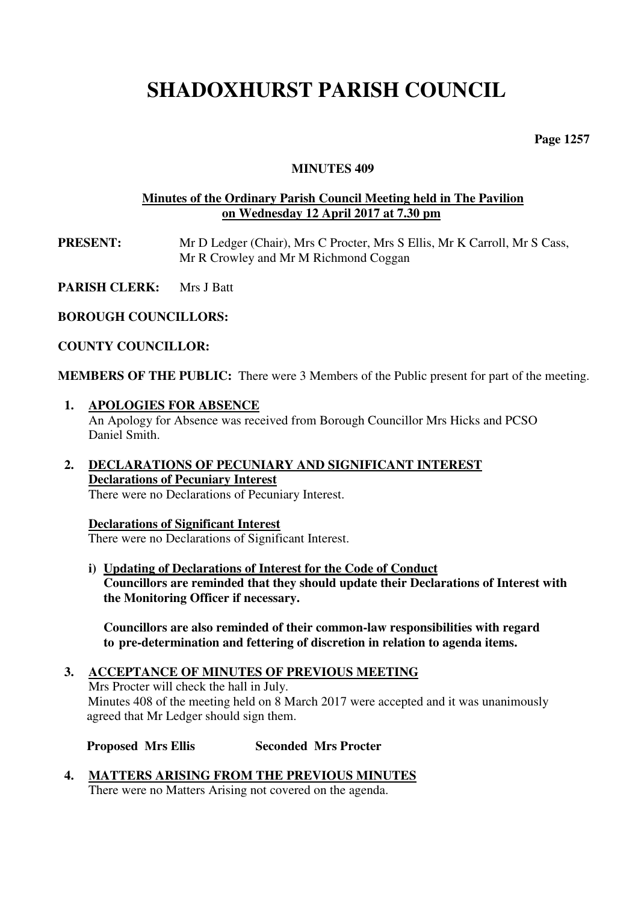## **SHADOXHURST PARISH COUNCIL**

**Page 1257** 

#### **MINUTES 409**

### **Minutes of the Ordinary Parish Council Meeting held in The Pavilion on Wednesday 12 April 2017 at 7.30 pm**

- **PRESENT:** Mr D Ledger (Chair), Mrs C Procter, Mrs S Ellis, Mr K Carroll, Mr S Cass, Mr R Crowley and Mr M Richmond Coggan
- **PARISH CLERK:** Mrs J Batt

**BOROUGH COUNCILLORS:** 

#### **COUNTY COUNCILLOR:**

**MEMBERS OF THE PUBLIC:** There were 3 Members of the Public present for part of the meeting.

- **1. APOLOGIES FOR ABSENCE**  An Apology for Absence was received from Borough Councillor Mrs Hicks and PCSO Daniel Smith.
- **2. DECLARATIONS OF PECUNIARY AND SIGNIFICANT INTEREST Declarations of Pecuniary Interest**  There were no Declarations of Pecuniary Interest.

## **Declarations of Significant Interest**

There were no Declarations of Significant Interest.

**i) Updating of Declarations of Interest for the Code of Conduct Councillors are reminded that they should update their Declarations of Interest with the Monitoring Officer if necessary.** 

 **Councillors are also reminded of their common-law responsibilities with regard to pre-determination and fettering of discretion in relation to agenda items.** 

## **3. ACCEPTANCE OF MINUTES OF PREVIOUS MEETING** Mrs Procter will check the hall in July. Minutes 408 of the meeting held on 8 March 2017 were accepted and it was unanimously agreed that Mr Ledger should sign them.

**Proposed Mrs Ellis Seconded Mrs Procter** 

**4. MATTERS ARISING FROM THE PREVIOUS MINUTES**  There were no Matters Arising not covered on the agenda.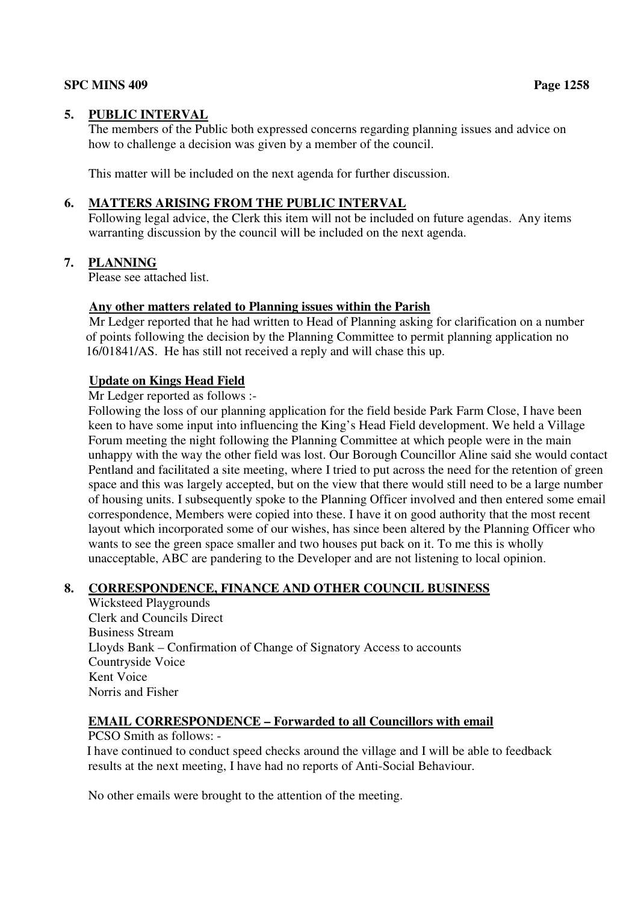### **SPC MINS 409** Page 1258

## **5. PUBLIC INTERVAL**

The members of the Public both expressed concerns regarding planning issues and advice on how to challenge a decision was given by a member of the council.

This matter will be included on the next agenda for further discussion.

## **6. MATTERS ARISING FROM THE PUBLIC INTERVAL**

Following legal advice, the Clerk this item will not be included on future agendas. Any items warranting discussion by the council will be included on the next agenda.

## **7. PLANNING**

Please see attached list.

## **Any other matters related to Planning issues within the Parish**

 Mr Ledger reported that he had written to Head of Planning asking for clarification on a number of points following the decision by the Planning Committee to permit planning application no 16/01841/AS. He has still not received a reply and will chase this up.

## **Update on Kings Head Field**

Mr Ledger reported as follows :-

Following the loss of our planning application for the field beside Park Farm Close, I have been keen to have some input into influencing the King's Head Field development. We held a Village Forum meeting the night following the Planning Committee at which people were in the main unhappy with the way the other field was lost. Our Borough Councillor Aline said she would contact Pentland and facilitated a site meeting, where I tried to put across the need for the retention of green space and this was largely accepted, but on the view that there would still need to be a large number of housing units. I subsequently spoke to the Planning Officer involved and then entered some email correspondence, Members were copied into these. I have it on good authority that the most recent layout which incorporated some of our wishes, has since been altered by the Planning Officer who wants to see the green space smaller and two houses put back on it. To me this is wholly unacceptable, ABC are pandering to the Developer and are not listening to local opinion.

## **8. CORRESPONDENCE, FINANCE AND OTHER COUNCIL BUSINESS**

Wicksteed Playgrounds Clerk and Councils Direct Business Stream Lloyds Bank – Confirmation of Change of Signatory Access to accounts Countryside Voice Kent Voice Norris and Fisher

## **EMAIL CORRESPONDENCE – Forwarded to all Councillors with email**

PCSO Smith as follows: -

 I have continued to conduct speed checks around the village and I will be able to feedback results at the next meeting, I have had no reports of Anti-Social Behaviour.

No other emails were brought to the attention of the meeting.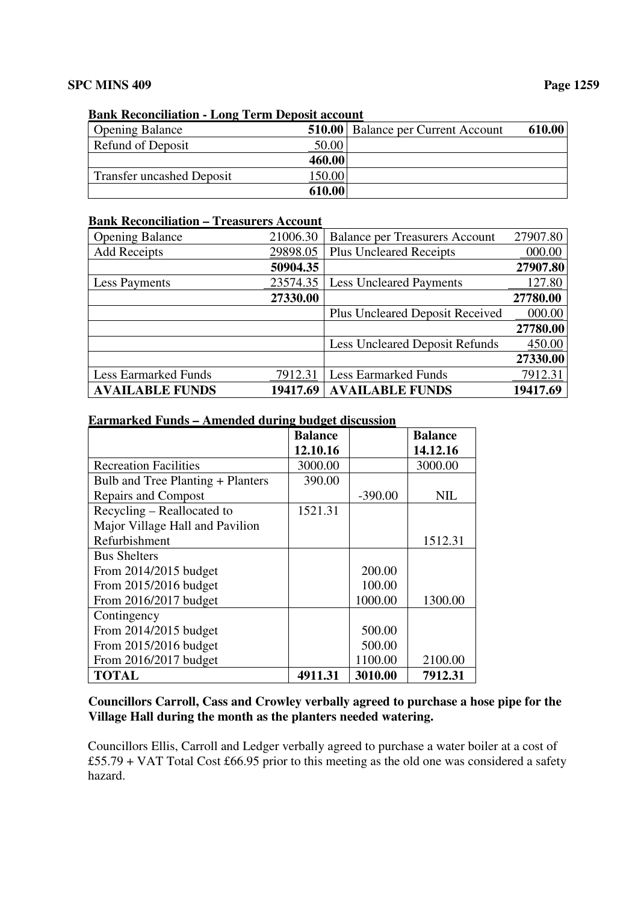## **Bank Reconciliation - Long Term Deposit account**

| <b>Opening Balance</b>           |        | <b>510.00</b> Balance per Current Account | 610.00 |
|----------------------------------|--------|-------------------------------------------|--------|
| Refund of Deposit                | 50.00  |                                           |        |
|                                  | 460.00 |                                           |        |
| <b>Transfer uncashed Deposit</b> | 150.00 |                                           |        |
|                                  | 610.00 |                                           |        |

#### **Bank Reconciliation – Treasurers Account**

| <b>AVAILABLE FUNDS</b>      | 19417.69 | <b>AVAILABLE FUNDS</b>                 | 19417.69 |
|-----------------------------|----------|----------------------------------------|----------|
| <b>Less Earmarked Funds</b> | 7912.31  | <b>Less Earmarked Funds</b>            | 7912.31  |
|                             |          |                                        | 27330.00 |
|                             |          | <b>Less Uncleared Deposit Refunds</b>  | 450.00   |
|                             |          |                                        | 27780.00 |
|                             |          | <b>Plus Uncleared Deposit Received</b> | 000.00   |
|                             | 27330.00 |                                        | 27780.00 |
| <b>Less Payments</b>        | 23574.35 | <b>Less Uncleared Payments</b>         | 127.80   |
|                             | 50904.35 |                                        | 27907.80 |
| <b>Add Receipts</b>         | 29898.05 | <b>Plus Uncleared Receipts</b>         | 000.00   |
| <b>Opening Balance</b>      | 21006.30 | <b>Balance per Treasurers Account</b>  | 27907.80 |

## **Earmarked Funds – Amended during budget discussion**

|                                   | <b>Balance</b> |           | <b>Balance</b> |
|-----------------------------------|----------------|-----------|----------------|
|                                   | 12.10.16       |           | 14.12.16       |
| <b>Recreation Facilities</b>      | 3000.00        |           | 3000.00        |
| Bulb and Tree Planting + Planters | 390.00         |           |                |
| <b>Repairs and Compost</b>        |                | $-390.00$ | <b>NIL</b>     |
| Recycling – Reallocated to        | 1521.31        |           |                |
| Major Village Hall and Pavilion   |                |           |                |
| Refurbishment                     |                |           | 1512.31        |
| <b>Bus Shelters</b>               |                |           |                |
| From 2014/2015 budget             |                | 200.00    |                |
| From 2015/2016 budget             |                | 100.00    |                |
| From 2016/2017 budget             |                | 1000.00   | 1300.00        |
| Contingency                       |                |           |                |
| From 2014/2015 budget             |                | 500.00    |                |
| From 2015/2016 budget             |                | 500.00    |                |
| From 2016/2017 budget             |                | 1100.00   | 2100.00        |
| <b>TOTAL</b>                      | 4911.31        | 3010.00   | 7912.31        |

## **Councillors Carroll, Cass and Crowley verbally agreed to purchase a hose pipe for the Village Hall during the month as the planters needed watering.**

Councillors Ellis, Carroll and Ledger verbally agreed to purchase a water boiler at a cost of £55.79 + VAT Total Cost £66.95 prior to this meeting as the old one was considered a safety hazard.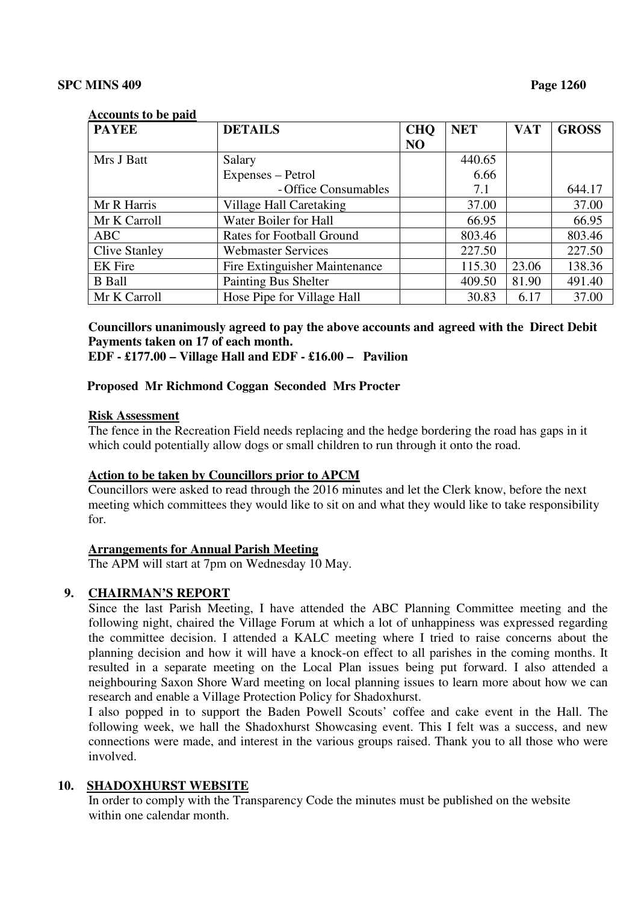#### **Accounts to be paid**

| <b>PAYEE</b>         | <b>DETAILS</b>                 | <b>CHQ</b> | <b>NET</b> | <b>VAT</b> | <b>GROSS</b> |
|----------------------|--------------------------------|------------|------------|------------|--------------|
|                      |                                | NO         |            |            |              |
| Mrs J Batt           | Salary                         |            | 440.65     |            |              |
|                      | Expenses – Petrol              |            | 6.66       |            |              |
|                      | - Office Consumables           |            | 7.1        |            | 644.17       |
| Mr R Harris          | <b>Village Hall Caretaking</b> |            | 37.00      |            | 37.00        |
| Mr K Carroll         | Water Boiler for Hall          |            | 66.95      |            | 66.95        |
| <b>ABC</b>           | Rates for Football Ground      |            | 803.46     |            | 803.46       |
| <b>Clive Stanley</b> | <b>Webmaster Services</b>      |            | 227.50     |            | 227.50       |
| <b>EK</b> Fire       | Fire Extinguisher Maintenance  |            | 115.30     | 23.06      | 138.36       |
| <b>B</b> Ball        | Painting Bus Shelter           |            | 409.50     | 81.90      | 491.40       |
| Mr K Carroll         | Hose Pipe for Village Hall     |            | 30.83      | 6.17       | 37.00        |

## **Councillors unanimously agreed to pay the above accounts and agreed with the Direct Debit Payments taken on 17 of each month.**

 **EDF - £177.00 – Village Hall and EDF - £16.00 – Pavilion** 

#### **Proposed Mr Richmond Coggan Seconded Mrs Procter**

#### **Risk Assessment**

 The fence in the Recreation Field needs replacing and the hedge bordering the road has gaps in it which could potentially allow dogs or small children to run through it onto the road.

#### **Action to be taken by Councillors prior to APCM**

 Councillors were asked to read through the 2016 minutes and let the Clerk know, before the next meeting which committees they would like to sit on and what they would like to take responsibility for.

#### **Arrangements for Annual Parish Meeting**

The APM will start at 7pm on Wednesday 10 May.

#### **9. CHAIRMAN'S REPORT**

Since the last Parish Meeting, I have attended the ABC Planning Committee meeting and the following night, chaired the Village Forum at which a lot of unhappiness was expressed regarding the committee decision. I attended a KALC meeting where I tried to raise concerns about the planning decision and how it will have a knock-on effect to all parishes in the coming months. It resulted in a separate meeting on the Local Plan issues being put forward. I also attended a neighbouring Saxon Shore Ward meeting on local planning issues to learn more about how we can research and enable a Village Protection Policy for Shadoxhurst.

I also popped in to support the Baden Powell Scouts' coffee and cake event in the Hall. The following week, we hall the Shadoxhurst Showcasing event. This I felt was a success, and new connections were made, and interest in the various groups raised. Thank you to all those who were involved.

#### **10. SHADOXHURST WEBSITE**

In order to comply with the Transparency Code the minutes must be published on the website within one calendar month.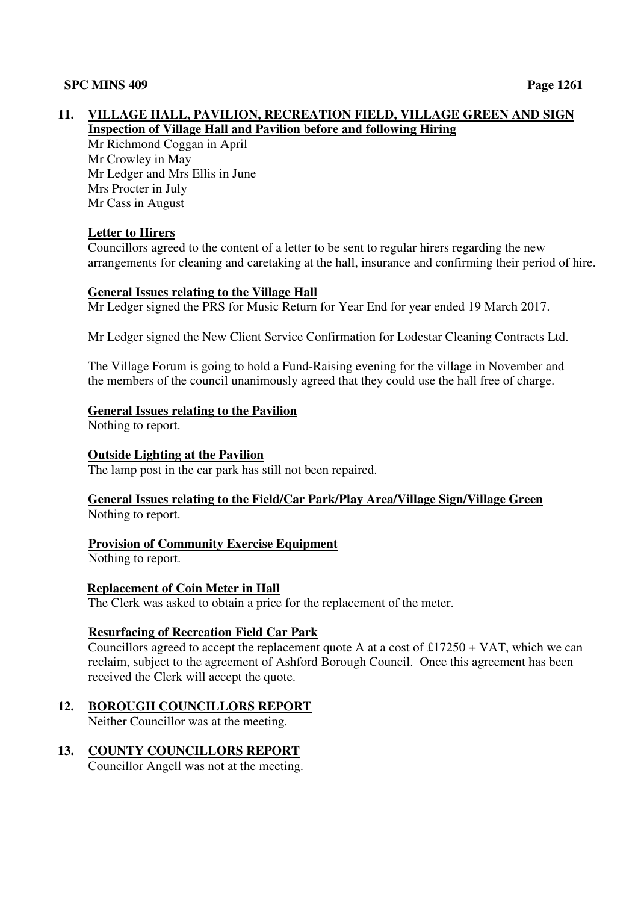## **11. VILLAGE HALL, PAVILION, RECREATION FIELD, VILLAGE GREEN AND SIGN Inspection of Village Hall and Pavilion before and following Hiring**

 Mr Richmond Coggan in April Mr Crowley in May Mr Ledger and Mrs Ellis in June Mrs Procter in July Mr Cass in August

## **Letter to Hirers**

 Councillors agreed to the content of a letter to be sent to regular hirers regarding the new arrangements for cleaning and caretaking at the hall, insurance and confirming their period of hire.

## **General Issues relating to the Village Hall**

Mr Ledger signed the PRS for Music Return for Year End for year ended 19 March 2017.

Mr Ledger signed the New Client Service Confirmation for Lodestar Cleaning Contracts Ltd.

 The Village Forum is going to hold a Fund-Raising evening for the village in November and the members of the council unanimously agreed that they could use the hall free of charge.

## **General Issues relating to the Pavilion**

Nothing to report.

### **Outside Lighting at the Pavilion**

The lamp post in the car park has still not been repaired.

## **General Issues relating to the Field/Car Park/Play Area/Village Sign/Village Green**  Nothing to report.

## **Provision of Community Exercise Equipment**

Nothing to report.

## **Replacement of Coin Meter in Hall**

The Clerk was asked to obtain a price for the replacement of the meter.

## **Resurfacing of Recreation Field Car Park**

Councillors agreed to accept the replacement quote A at a cost of  $£17250 + VAT$ , which we can reclaim, subject to the agreement of Ashford Borough Council. Once this agreement has been received the Clerk will accept the quote.

## **12. BOROUGH COUNCILLORS REPORT**

Neither Councillor was at the meeting.

**13. COUNTY COUNCILLORS REPORT**

Councillor Angell was not at the meeting.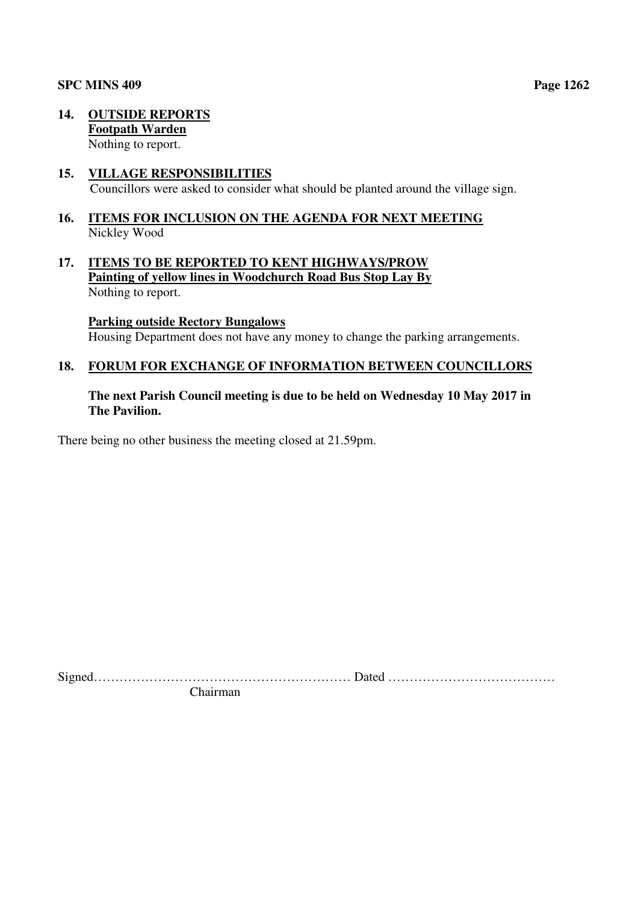#### **SPC MINS 409** Page 1262

**14. OUTSIDE REPORTS Footpath Warden**  Nothing to report.

## **15. VILLAGE RESPONSIBILITIES**

Councillors were asked to consider what should be planted around the village sign.

## **16. ITEMS FOR INCLUSION ON THE AGENDA FOR NEXT MEETING**  Nickley Wood

**17. ITEMS TO BE REPORTED TO KENT HIGHWAYS/PROW Painting of yellow lines in Woodchurch Road Bus Stop Lay By**  Nothing to report.

**Parking outside Rectory Bungalows** 

Housing Department does not have any money to change the parking arrangements.

#### **18. FORUM FOR EXCHANGE OF INFORMATION BETWEEN COUNCILLORS**

## **The next Parish Council meeting is due to be held on Wednesday 10 May 2017 in The Pavilion.**

There being no other business the meeting closed at 21.59pm.

Signed…………………………………………………… Dated ………………………………… Chairman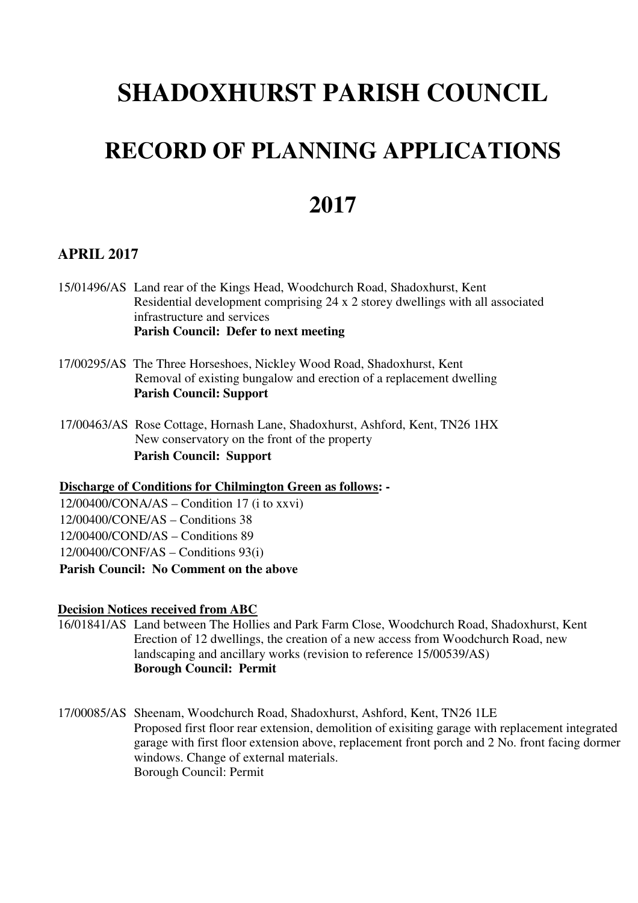# **SHADOXHURST PARISH COUNCIL**

# **RECORD OF PLANNING APPLICATIONS**

## **2017**

## **APRIL 2017**

- 15/01496/AS Land rear of the Kings Head, Woodchurch Road, Shadoxhurst, Kent Residential development comprising 24 x 2 storey dwellings with all associated infrastructure and services **Parish Council: Defer to next meeting**
- 17/00295/AS The Three Horseshoes, Nickley Wood Road, Shadoxhurst, Kent Removal of existing bungalow and erection of a replacement dwelling **Parish Council: Support**
- 17/00463/AS Rose Cottage, Hornash Lane, Shadoxhurst, Ashford, Kent, TN26 1HX New conservatory on the front of the property **Parish Council: Support**

**Discharge of Conditions for Chilmington Green as follows: -** 

 $12/00400/CONA/AS - Condition 17$  (i to xxvi) 12/00400/CONE/AS – Conditions 38

12/00400/COND/AS – Conditions 89

12/00400/CONF/AS – Conditions 93(i)

**Parish Council: No Comment on the above**

#### **Decision Notices received from ABC**

- 16/01841/AS Land between The Hollies and Park Farm Close, Woodchurch Road, Shadoxhurst, Kent Erection of 12 dwellings, the creation of a new access from Woodchurch Road, new landscaping and ancillary works (revision to reference 15/00539/AS)  **Borough Council: Permit**
- 17/00085/AS Sheenam, Woodchurch Road, Shadoxhurst, Ashford, Kent, TN26 1LE Proposed first floor rear extension, demolition of exisiting garage with replacement integrated garage with first floor extension above, replacement front porch and 2 No. front facing dormer windows. Change of external materials. Borough Council: Permit